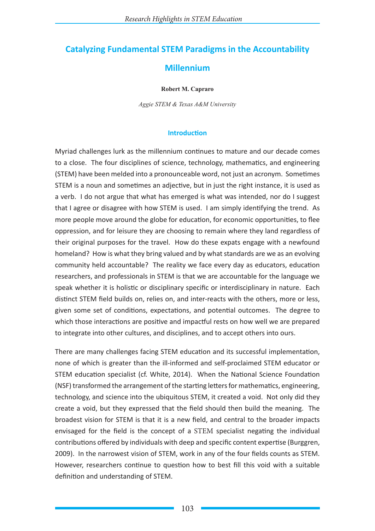# **Catalyzing Fundamental STEM Paradigms in the Accountability**

# **Millennium**

#### **Robert M. Capraro**

*Aggie STEM & Texas A&M University*

## **Introduction**

Myriad challenges lurk as the millennium continues to mature and our decade comes to a close. The four disciplines of science, technology, mathematics, and engineering (STEM) have been melded into a pronounceable word, not just an acronym. Sometimes STEM is a noun and sometimes an adjective, but in just the right instance, it is used as a verb. I do not argue that what has emerged is what was intended, nor do I suggest that I agree or disagree with how STEM is used. I am simply identifying the trend. As more people move around the globe for education, for economic opportunities, to flee oppression, and for leisure they are choosing to remain where they land regardless of their original purposes for the travel. How do these expats engage with a newfound homeland? How is what they bring valued and by what standards are we as an evolving community held accountable? The reality we face every day as educators, education researchers, and professionals in STEM is that we are accountable for the language we speak whether it is holistic or disciplinary specific or interdisciplinary in nature. Each distinct STEM field builds on, relies on, and inter-reacts with the others, more or less, given some set of conditions, expectations, and potential outcomes. The degree to which those interactions are positive and impactful rests on how well we are prepared to integrate into other cultures, and disciplines, and to accept others into ours.

There are many challenges facing STEM education and its successful implementation, none of which is greater than the ill-informed and self-proclaimed STEM educator or STEM education specialist (cf. White, 2014). When the National Science Foundation (NSF) transformed the arrangement of the starting letters for mathematics, engineering, technology, and science into the ubiquitous STEM, it created a void. Not only did they create a void, but they expressed that the field should then build the meaning. The broadest vision for STEM is that it is a new field, and central to the broader impacts envisaged for the field is the concept of a STEM specialist negating the individual contributions offered by individuals with deep and specific content expertise (Burggren, 2009). In the narrowest vision of STEM, work in any of the four fields counts as STEM. However, researchers continue to question how to best fill this void with a suitable definition and understanding of STEM.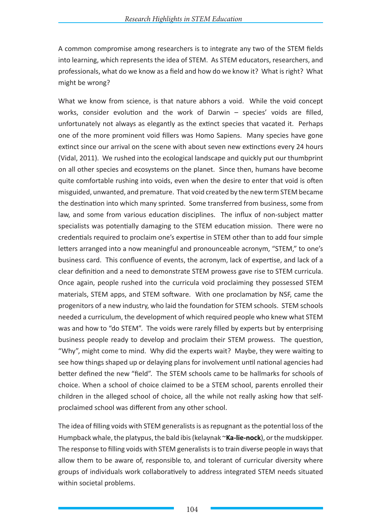A common compromise among researchers is to integrate any two of the STEM fields into learning, which represents the idea of STEM. As STEM educators, researchers, and professionals, what do we know as a field and how do we know it? What is right? What might be wrong?

What we know from science, is that nature abhors a void. While the void concept works, consider evolution and the work of Darwin – species' voids are filled, unfortunately not always as elegantly as the extinct species that vacated it. Perhaps one of the more prominent void fillers was Homo Sapiens. Many species have gone extinct since our arrival on the scene with about seven new extinctions every 24 hours (Vidal, 2011). We rushed into the ecological landscape and quickly put our thumbprint on all other species and ecosystems on the planet. Since then, humans have become quite comfortable rushing into voids, even when the desire to enter that void is often misguided, unwanted, and premature. That void created by the new term STEM became the destination into which many sprinted. Some transferred from business, some from law, and some from various education disciplines. The influx of non-subject matter specialists was potentially damaging to the STEM education mission. There were no credentials required to proclaim one's expertise in STEM other than to add four simple letters arranged into a now meaningful and pronounceable acronym, "STEM," to one's business card. This confluence of events, the acronym, lack of expertise, and lack of a clear definition and a need to demonstrate STEM prowess gave rise to STEM curricula. Once again, people rushed into the curricula void proclaiming they possessed STEM materials, STEM apps, and STEM software. With one proclamation by NSF, came the progenitors of a new industry, who laid the foundation for STEM schools. STEM schools needed a curriculum, the development of which required people who knew what STEM was and how to "do STEM". The voids were rarely filled by experts but by enterprising business people ready to develop and proclaim their STEM prowess. The question, "Why", might come to mind. Why did the experts wait? Maybe, they were waiting to see how things shaped up or delaying plans for involvement until national agencies had better defined the new "field". The STEM schools came to be hallmarks for schools of choice. When a school of choice claimed to be a STEM school, parents enrolled their children in the alleged school of choice, all the while not really asking how that selfproclaimed school was different from any other school.

The idea of filling voids with STEM generalists is as repugnant as the potential loss of the Humpback whale, the platypus, the bald ibis (kelaynak ~**Ka-lie-nock**), or the mudskipper. The response to filling voids with STEM generalists is to train diverse people in ways that allow them to be aware of, responsible to, and tolerant of curricular diversity where groups of individuals work collaboratively to address integrated STEM needs situated within societal problems.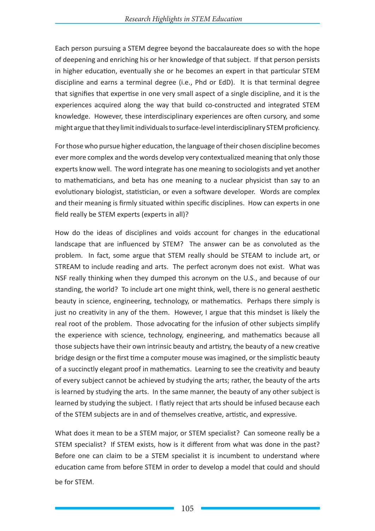Each person pursuing a STEM degree beyond the baccalaureate does so with the hope of deepening and enriching his or her knowledge of that subject. If that person persists in higher education, eventually she or he becomes an expert in that particular STEM discipline and earns a terminal degree (i.e., Phd or EdD). It is that terminal degree that signifies that expertise in one very small aspect of a single discipline, and it is the experiences acquired along the way that build co-constructed and integrated STEM knowledge. However, these interdisciplinary experiences are often cursory, and some might argue that they limit individuals to surface-level interdisciplinary STEM proficiency.

For those who pursue higher education, the language of their chosen discipline becomes ever more complex and the words develop very contextualized meaning that only those experts know well. The word integrate has one meaning to sociologists and yet another to mathematicians, and beta has one meaning to a nuclear physicist than say to an evolutionary biologist, statistician, or even a software developer. Words are complex and their meaning is firmly situated within specific disciplines. How can experts in one field really be STEM experts (experts in all)?

How do the ideas of disciplines and voids account for changes in the educational landscape that are influenced by STEM? The answer can be as convoluted as the problem. In fact, some argue that STEM really should be STEAM to include art, or STREAM to include reading and arts. The perfect acronym does not exist. What was NSF really thinking when they dumped this acronym on the U.S., and because of our standing, the world? To include art one might think, well, there is no general aesthetic beauty in science, engineering, technology, or mathematics. Perhaps there simply is just no creativity in any of the them. However, I argue that this mindset is likely the real root of the problem. Those advocating for the infusion of other subjects simplify the experience with science, technology, engineering, and mathematics because all those subjects have their own intrinsic beauty and artistry, the beauty of a new creative bridge design or the first time a computer mouse was imagined, or the simplistic beauty of a succinctly elegant proof in mathematics. Learning to see the creativity and beauty of every subject cannot be achieved by studying the arts; rather, the beauty of the arts is learned by studying the arts. In the same manner, the beauty of any other subject is learned by studying the subject. I flatly reject that arts should be infused because each of the STEM subjects are in and of themselves creative, artistic, and expressive.

What does it mean to be a STEM major, or STEM specialist? Can someone really be a STEM specialist? If STEM exists, how is it different from what was done in the past? Before one can claim to be a STEM specialist it is incumbent to understand where education came from before STEM in order to develop a model that could and should be for STEM.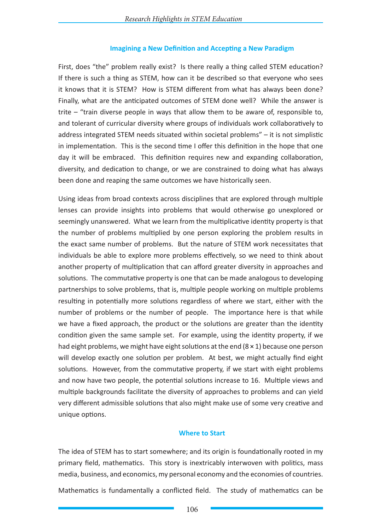## **Imagining a New Definition and Accepting a New Paradigm**

First, does "the" problem really exist? Is there really a thing called STEM education? If there is such a thing as STEM, how can it be described so that everyone who sees it knows that it is STEM? How is STEM different from what has always been done? Finally, what are the anticipated outcomes of STEM done well? While the answer is trite – "train diverse people in ways that allow them to be aware of, responsible to, and tolerant of curricular diversity where groups of individuals work collaboratively to address integrated STEM needs situated within societal problems" – it is not simplistic in implementation. This is the second time I offer this definition in the hope that one day it will be embraced. This definition requires new and expanding collaboration, diversity, and dedication to change, or we are constrained to doing what has always been done and reaping the same outcomes we have historically seen.

Using ideas from broad contexts across disciplines that are explored through multiple lenses can provide insights into problems that would otherwise go unexplored or seemingly unanswered. What we learn from the multiplicative identity property is that the number of problems multiplied by one person exploring the problem results in the exact same number of problems. But the nature of STEM work necessitates that individuals be able to explore more problems effectively, so we need to think about another property of multiplication that can afford greater diversity in approaches and solutions. The commutative property is one that can be made analogous to developing partnerships to solve problems, that is, multiple people working on multiple problems resulting in potentially more solutions regardless of where we start, either with the number of problems or the number of people. The importance here is that while we have a fixed approach, the product or the solutions are greater than the identity condition given the same sample set. For example, using the identity property, if we had eight problems, we might have eight solutions at the end  $(8 \times 1)$  because one person will develop exactly one solution per problem. At best, we might actually find eight solutions. However, from the commutative property, if we start with eight problems and now have two people, the potential solutions increase to 16. Multiple views and multiple backgrounds facilitate the diversity of approaches to problems and can yield very different admissible solutions that also might make use of some very creative and unique options.

## **Where to Start**

The idea of STEM has to start somewhere; and its origin is foundationally rooted in my primary field, mathematics. This story is inextricably interwoven with politics, mass media, business, and economics, my personal economy and the economies of countries.

Mathematics is fundamentally a conflicted field. The study of mathematics can be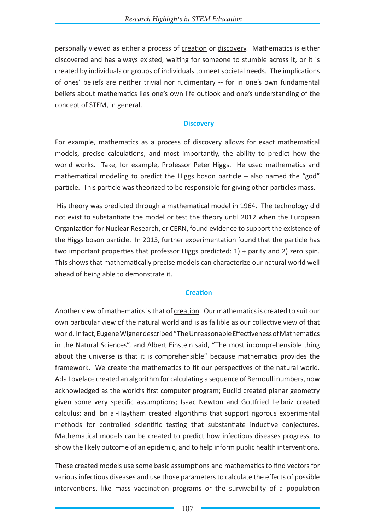personally viewed as either a process of creation or discovery. Mathematics is either discovered and has always existed, waiting for someone to stumble across it, or it is created by individuals or groups of individuals to meet societal needs. The implications of ones' beliefs are neither trivial nor rudimentary -- for in one's own fundamental beliefs about mathematics lies one's own life outlook and one's understanding of the concept of STEM, in general.

## **Discovery**

For example, mathematics as a process of discovery allows for exact mathematical models, precise calculations, and most importantly, the ability to predict how the world works. Take, for example, Professor Peter Higgs. He used mathematics and mathematical modeling to predict the Higgs boson particle – also named the "god" particle. This particle was theorized to be responsible for giving other particles mass.

 His theory was predicted through a mathematical model in 1964. The technology did not exist to substantiate the model or test the theory until 2012 when the European Organization for Nuclear Research, or CERN, found evidence to support the existence of the Higgs boson particle. In 2013, further experimentation found that the particle has two important properties that professor Higgs predicted: 1) + parity and 2) zero spin. This shows that mathematically precise models can characterize our natural world well ahead of being able to demonstrate it.

## **Creation**

Another view of mathematics is that of creation. Our mathematics is created to suit our own particular view of the natural world and is as fallible as our collective view of that world. In fact, Eugene Wigner described "The Unreasonable Effectiveness of Mathematics in the Natural Sciences", and Albert Einstein said, "The most incomprehensible thing about the universe is that it is comprehensible" because mathematics provides the framework. We create the mathematics to fit our perspectives of the natural world. Ada Lovelace created an algorithm for calculating a sequence of Bernoulli numbers, now acknowledged as the world's first computer program; Euclid created planar geometry given some very specific assumptions; Isaac Newton and Gottfried Leibniz created calculus; and ibn al-Haytham created algorithms that support rigorous experimental methods for controlled scientific testing that substantiate inductive conjectures. Mathematical models can be created to predict how infectious diseases progress, to show the likely outcome of an epidemic, and to help inform public health interventions.

These created models use some basic assumptions and mathematics to find vectors for various infectious diseases and use those parameters to calculate the effects of possible interventions, like mass vaccination programs or the survivability of a population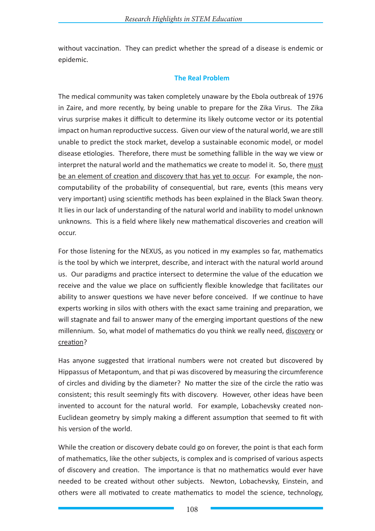without vaccination. They can predict whether the spread of a disease is endemic or epidemic.

### **The Real Problem**

The medical community was taken completely unaware by the Ebola outbreak of 1976 in Zaire, and more recently, by being unable to prepare for the Zika Virus. The Zika virus surprise makes it difficult to determine its likely outcome vector or its potential impact on human reproductive success. Given our view of the natural world, we are still unable to predict the stock market, develop a sustainable economic model, or model disease etiologies. Therefore, there must be something fallible in the way we view or interpret the natural world and the mathematics we create to model it. So, there must be an element of creation and discovery that has yet to occur. For example, the noncomputability of the probability of consequential, but rare, events (this means very very important) using scientific methods has been explained in the Black Swan theory. It lies in our lack of understanding of the natural world and inability to model unknown unknowns. This is a field where likely new mathematical discoveries and creation will occur.

For those listening for the NEXUS, as you noticed in my examples so far, mathematics is the tool by which we interpret, describe, and interact with the natural world around us. Our paradigms and practice intersect to determine the value of the education we receive and the value we place on sufficiently flexible knowledge that facilitates our ability to answer questions we have never before conceived. If we continue to have experts working in silos with others with the exact same training and preparation, we will stagnate and fail to answer many of the emerging important questions of the new millennium. So, what model of mathematics do you think we really need, discovery or creation?

Has anyone suggested that irrational numbers were not created but discovered by Hippassus of Metapontum, and that pi was discovered by measuring the circumference of circles and dividing by the diameter? No matter the size of the circle the ratio was consistent; this result seemingly fits with discovery. However, other ideas have been invented to account for the natural world. For example, Lobachevsky created non-Euclidean geometry by simply making a different assumption that seemed to fit with his version of the world.

While the creation or discovery debate could go on forever, the point is that each form of mathematics, like the other subjects, is complex and is comprised of various aspects of discovery and creation. The importance is that no mathematics would ever have needed to be created without other subjects. Newton, Lobachevsky, Einstein, and others were all motivated to create mathematics to model the science, technology,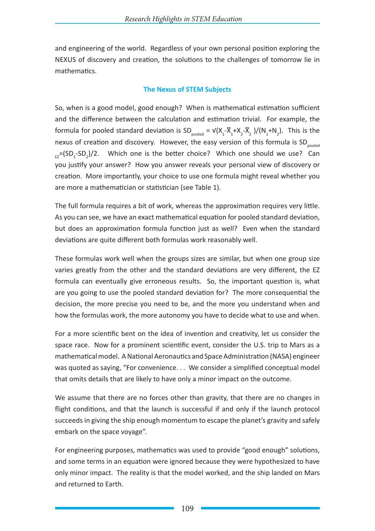and engineering of the world. Regardless of your own personal position exploring the NEXUS of discovery and creation, the solutions to the challenges of tomorrow lie in mathematics.

### **The Nexus of STEM Subjects**

So, when is a good model, good enough? When is mathematical estimation sufficient and the difference between the calculation and estimation trivial. For example, the formula for pooled standard deviation is  $SD_{pooled} = V(X_1 - \overline{X}_1 + X_2 - \overline{X}_2)/(N_1 + N_2)$ . This is the nexus of creation and discovery. However, the easy version of this formula is  $SD_{pooled}$  $E_{\rm EZ}$ =(SD<sub>1</sub>-SD<sub>2</sub>)/2. Which one is the better choice? Which one should we use? Can you justify your answer? How you answer reveals your personal view of discovery or creation. More importantly, your choice to use one formula might reveal whether you are more a mathematician or statistician (see Table 1).

The full formula requires a bit of work, whereas the approximation requires very little. As you can see, we have an exact mathematical equation for pooled standard deviation, but does an approximation formula function just as well? Even when the standard deviations are quite different both formulas work reasonably well.

These formulas work well when the groups sizes are similar, but when one group size varies greatly from the other and the standard deviations are very different, the EZ formula can eventually give erroneous results. So, the important question is, what are you going to use the pooled standard deviation for? The more consequential the decision, the more precise you need to be, and the more you understand when and how the formulas work, the more autonomy you have to decide what to use and when.

For a more scientific bent on the idea of invention and creativity, let us consider the space race. Now for a prominent scientific event, consider the U.S. trip to Mars as a mathematical model. A National Aeronautics and Space Administration (NASA) engineer was quoted as saying, "For convenience. . . We consider a simplified conceptual model that omits details that are likely to have only a minor impact on the outcome.

We assume that there are no forces other than gravity, that there are no changes in flight conditions, and that the launch is successful if and only if the launch protocol succeeds in giving the ship enough momentum to escape the planet's gravity and safely embark on the space voyage".

For engineering purposes, mathematics was used to provide "good enough" solutions, and some terms in an equation were ignored because they were hypothesized to have only minor impact. The reality is that the model worked, and the ship landed on Mars and returned to Earth.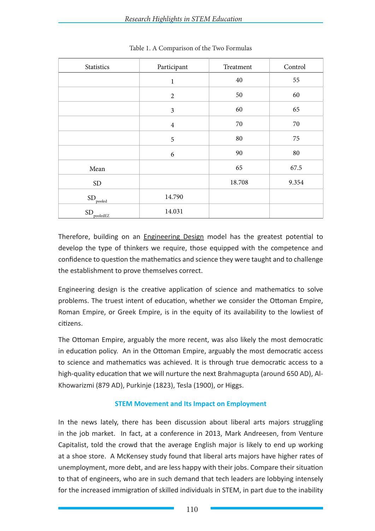| Statistics                  | Participant    | Treatment | Control |
|-----------------------------|----------------|-----------|---------|
|                             | $\mathbf{1}$   | $40\,$    | 55      |
|                             | $\overline{2}$ | 50        | 60      |
|                             | $\mathfrak{Z}$ | 60        | 65      |
|                             | $\overline{4}$ | $70\,$    | 70      |
|                             | $\mathfrak s$  | 80        | 75      |
|                             | 6              | 90        | 80      |
| Mean                        |                | 65        | 67.5    |
| ${\rm SD}$                  |                | 18.708    | 9.354   |
| $\mathrm{SD}_\text{pooled}$ | 14.790         |           |         |
| $\text{SD}_\text{pooledEZ}$ | 14.031         |           |         |

Table 1. A Comparison of the Two Formulas

Therefore, building on an Engineering Design model has the greatest potential to develop the type of thinkers we require, those equipped with the competence and confidence to question the mathematics and science they were taught and to challenge the establishment to prove themselves correct.

Engineering design is the creative application of science and mathematics to solve problems. The truest intent of education, whether we consider the Ottoman Empire, Roman Empire, or Greek Empire, is in the equity of its availability to the lowliest of citizens.

The Ottoman Empire, arguably the more recent, was also likely the most democratic in education policy. An in the Ottoman Empire, arguably the most democratic access to science and mathematics was achieved. It is through true democratic access to a high-quality education that we will nurture the next Brahmagupta (around 650 AD), Al-Khowarizmi (879 AD), Purkinje (1823), Tesla (1900), or Higgs.

## **STEM Movement and Its Impact on Employment**

In the news lately, there has been discussion about liberal arts majors struggling in the job market. In fact, at a conference in 2013, Mark Andreesen, from Venture Capitalist, told the crowd that the average English major is likely to end up working at a shoe store. A McKensey study found that liberal arts majors have higher rates of unemployment, more debt, and are less happy with their jobs. Compare their situation to that of engineers, who are in such demand that tech leaders are lobbying intensely for the increased immigration of skilled individuals in STEM, in part due to the inability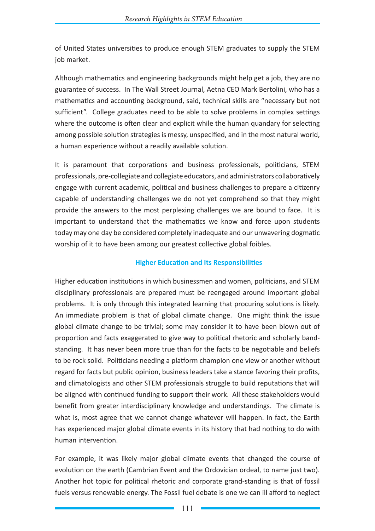of United States universities to produce enough STEM graduates to supply the STEM job market.

Although mathematics and engineering backgrounds might help get a job, they are no guarantee of success. In The Wall Street Journal, Aetna CEO Mark Bertolini, who has a mathematics and accounting background, said, technical skills are "necessary but not sufficient". College graduates need to be able to solve problems in complex settings where the outcome is often clear and explicit while the human quandary for selecting among possible solution strategies is messy, unspecified, and in the most natural world, a human experience without a readily available solution.

It is paramount that corporations and business professionals, politicians, STEM professionals, pre-collegiate and collegiate educators, and administrators collaboratively engage with current academic, political and business challenges to prepare a citizenry capable of understanding challenges we do not yet comprehend so that they might provide the answers to the most perplexing challenges we are bound to face. It is important to understand that the mathematics we know and force upon students today may one day be considered completely inadequate and our unwavering dogmatic worship of it to have been among our greatest collective global foibles.

## **Higher Education and Its Responsibilities**

Higher education institutions in which businessmen and women, politicians, and STEM disciplinary professionals are prepared must be reengaged around important global problems. It is only through this integrated learning that procuring solutions is likely. An immediate problem is that of global climate change. One might think the issue global climate change to be trivial; some may consider it to have been blown out of proportion and facts exaggerated to give way to political rhetoric and scholarly bandstanding. It has never been more true than for the facts to be negotiable and beliefs to be rock solid. Politicians needing a platform champion one view or another without regard for facts but public opinion, business leaders take a stance favoring their profits, and climatologists and other STEM professionals struggle to build reputations that will be aligned with continued funding to support their work. All these stakeholders would benefit from greater interdisciplinary knowledge and understandings. The climate is what is, most agree that we cannot change whatever will happen. In fact, the Earth has experienced major global climate events in its history that had nothing to do with human intervention.

For example, it was likely major global climate events that changed the course of evolution on the earth (Cambrian Event and the Ordovician ordeal, to name just two). Another hot topic for political rhetoric and corporate grand-standing is that of fossil fuels versus renewable energy. The Fossil fuel debate is one we can ill afford to neglect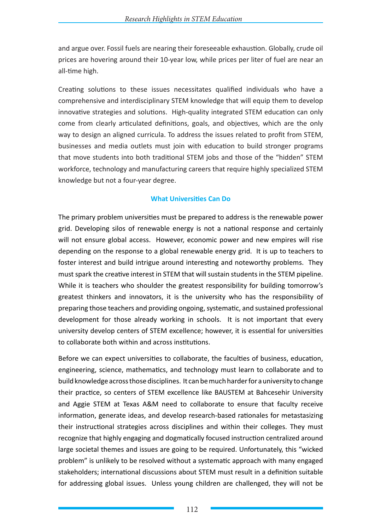and argue over. Fossil fuels are nearing their foreseeable exhaustion. Globally, crude oil prices are hovering around their 10-year low, while prices per liter of fuel are near an all-time high.

Creating solutions to these issues necessitates qualified individuals who have a comprehensive and interdisciplinary STEM knowledge that will equip them to develop innovative strategies and solutions. High-quality integrated STEM education can only come from clearly articulated definitions, goals, and objectives, which are the only way to design an aligned curricula. To address the issues related to profit from STEM, businesses and media outlets must join with education to build stronger programs that move students into both traditional STEM jobs and those of the "hidden" STEM workforce, technology and manufacturing careers that require highly specialized STEM knowledge but not a four-year degree.

## **What Universities Can Do**

The primary problem universities must be prepared to address is the renewable power grid. Developing silos of renewable energy is not a national response and certainly will not ensure global access. However, economic power and new empires will rise depending on the response to a global renewable energy grid. It is up to teachers to foster interest and build intrigue around interesting and noteworthy problems. They must spark the creative interest in STEM that will sustain students in the STEM pipeline. While it is teachers who shoulder the greatest responsibility for building tomorrow's greatest thinkers and innovators, it is the university who has the responsibility of preparing those teachers and providing ongoing, systematic, and sustained professional development for those already working in schools. It is not important that every university develop centers of STEM excellence; however, it is essential for universities to collaborate both within and across institutions.

Before we can expect universities to collaborate, the faculties of business, education, engineering, science, mathematics, and technology must learn to collaborate and to build knowledge across those disciplines. It can be much harder for a university to change their practice, so centers of STEM excellence like BAUSTEM at Bahcesehir University and Aggie STEM at Texas A&M need to collaborate to ensure that faculty receive information, generate ideas, and develop research-based rationales for metastasizing their instructional strategies across disciplines and within their colleges. They must recognize that highly engaging and dogmatically focused instruction centralized around large societal themes and issues are going to be required. Unfortunately, this "wicked problem" is unlikely to be resolved without a systematic approach with many engaged stakeholders; international discussions about STEM must result in a definition suitable for addressing global issues. Unless young children are challenged, they will not be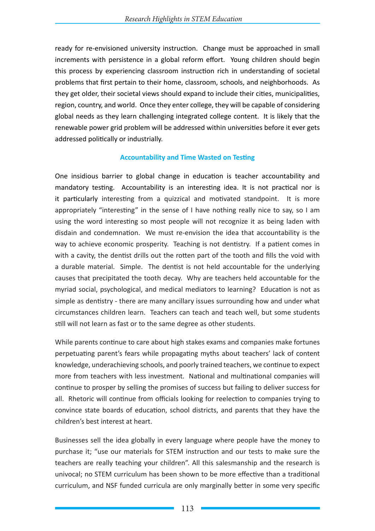ready for re-envisioned university instruction. Change must be approached in small increments with persistence in a global reform effort. Young children should begin this process by experiencing classroom instruction rich in understanding of societal problems that first pertain to their home, classroom, schools, and neighborhoods. As they get older, their societal views should expand to include their cities, municipalities, region, country, and world. Once they enter college, they will be capable of considering global needs as they learn challenging integrated college content. It is likely that the renewable power grid problem will be addressed within universities before it ever gets addressed politically or industrially.

## **Accountability and Time Wasted on Testing**

One insidious barrier to global change in education is teacher accountability and mandatory testing. Accountability is an interesting idea. It is not practical nor is it particularly interesting from a quizzical and motivated standpoint. It is more appropriately "interesting" in the sense of I have nothing really nice to say, so I am using the word interesting so most people will not recognize it as being laden with disdain and condemnation. We must re-envision the idea that accountability is the way to achieve economic prosperity. Teaching is not dentistry. If a patient comes in with a cavity, the dentist drills out the rotten part of the tooth and fills the void with a durable material. Simple. The dentist is not held accountable for the underlying causes that precipitated the tooth decay. Why are teachers held accountable for the myriad social, psychological, and medical mediators to learning? Education is not as simple as dentistry - there are many ancillary issues surrounding how and under what circumstances children learn. Teachers can teach and teach well, but some students still will not learn as fast or to the same degree as other students.

While parents continue to care about high stakes exams and companies make fortunes perpetuating parent's fears while propagating myths about teachers' lack of content knowledge, underachieving schools, and poorly trained teachers, we continue to expect more from teachers with less investment. National and multinational companies will continue to prosper by selling the promises of success but failing to deliver success for all. Rhetoric will continue from officials looking for reelection to companies trying to convince state boards of education, school districts, and parents that they have the children's best interest at heart.

Businesses sell the idea globally in every language where people have the money to purchase it; "use our materials for STEM instruction and our tests to make sure the teachers are really teaching your children". All this salesmanship and the research is univocal; no STEM curriculum has been shown to be more effective than a traditional curriculum, and NSF funded curricula are only marginally better in some very specific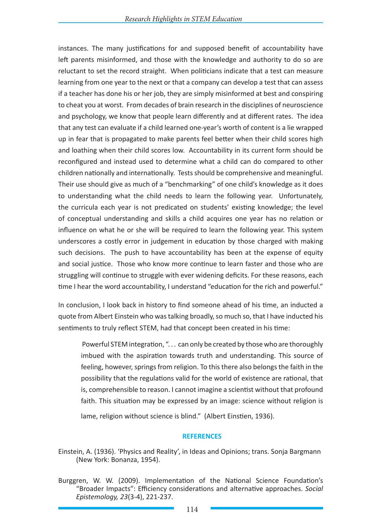instances. The many justifications for and supposed benefit of accountability have left parents misinformed, and those with the knowledge and authority to do so are reluctant to set the record straight. When politicians indicate that a test can measure learning from one year to the next or that a company can develop a test that can assess if a teacher has done his or her job, they are simply misinformed at best and conspiring to cheat you at worst. From decades of brain research in the disciplines of neuroscience and psychology, we know that people learn differently and at different rates. The idea that any test can evaluate if a child learned one-year's worth of content is a lie wrapped up in fear that is propagated to make parents feel better when their child scores high and loathing when their child scores low. Accountability in its current form should be reconfigured and instead used to determine what a child can do compared to other children nationally and internationally. Tests should be comprehensive and meaningful. Their use should give as much of a "benchmarking" of one child's knowledge as it does to understanding what the child needs to learn the following year. Unfortunately, the curricula each year is not predicated on students' existing knowledge; the level of conceptual understanding and skills a child acquires one year has no relation or influence on what he or she will be required to learn the following year. This system underscores a costly error in judgement in education by those charged with making such decisions. The push to have accountability has been at the expense of equity and social justice. Those who know more continue to learn faster and those who are struggling will continue to struggle with ever widening deficits. For these reasons, each time I hear the word accountability, I understand "education for the rich and powerful."

In conclusion, I look back in history to find someone ahead of his time, an inducted a quote from Albert Einstein who was talking broadly, so much so, that I have inducted his sentiments to truly reflect STEM, had that concept been created in his time:

 Powerful STEM integration, ". . . can only be created by those who are thoroughly imbued with the aspiration towards truth and understanding. This source of feeling, however, springs from religion. To this there also belongs the faith in the possibility that the regulations valid for the world of existence are rational, that is, comprehensible to reason. I cannot imagine a scientist without that profound faith. This situation may be expressed by an image: science without religion is lame, religion without science is blind." (Albert Einstien, 1936).

#### **REFERENCES**

- Einstein, A. (1936). 'Physics and Reality', in Ideas and Opinions; trans. Sonja Bargmann (New York: Bonanza, 1954).
- Burggren, W. W. (2009). Implementation of the National Science Foundation's "Broader Impacts": Efficiency considerations and alternative approaches. *Social Epistemology, 23*(3-4), 221-237.